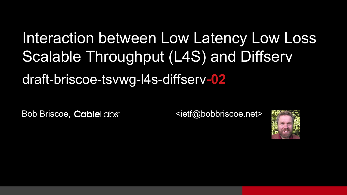## Interaction between Low Latency Low Loss Scalable Throughput (L4S) and Diffserv draft-briscoe-tsvwg-l4s-diffserv**-02**

Bob Briscoe, CableLabs <ietf@bobbriscoe.net>

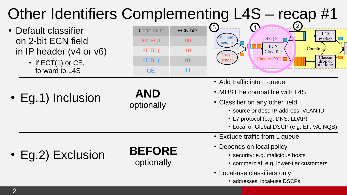#### Other Identifiers Complementing L4S – recap #1  $\cdot$  Eg.1) Inclusion • Eg.2) Exclusion • Default classifier on 2-bit ECN field in IP header (v4 or v6)  $\bullet$  if ECT(1) or CE, forward to L4S Codepoint ECN bits Not-ECT 00 ECT(0) 10  $ECT(1)$  01 CE 11 3  $\frac{1}{2}$ **ECN** Classifier L4S:  $[X1]$ Classic: [X0] 1 L4S marker Classic drop or marking Alassic sender Scalabl sender Coupling. **AND** optionally **BEFORE** optionally • Add traffic into L queue • MUST be compatible with L4S • Classifier on any other field • source or dest. IP address, VLAN ID • L7 protocol (e.g. DNS, LDAP) • Local or Global DSCP (e.g. EF, VA, NQB) • Exclude traffic from L queue • Depends on local policy • security: e.g. malicious hosts • commercial: e.g. lower-tier customers

- Local-use classifiers only
	- addresses, local-use DSCPs

strict priority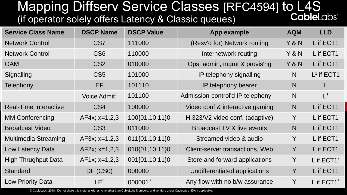### Mapping Diffserv Service Classes [RFC4594] to L4S<br>Friendal School of the Sulting Latency & Classic queues) (if operator solely offers Latency & Classic queues)

| <b>Service Class Name</b>   | <b>DSCP Name</b>         | <b>DSCP Value</b> | App example                      | <b>AQM</b> | <b>LLD</b>    |
|-----------------------------|--------------------------|-------------------|----------------------------------|------------|---------------|
| <b>Network Control</b>      | CS <sub>7</sub>          | 111000            | (Resv'd for) Network routing     | Y & N      | L if ECT1     |
| <b>Network Control</b>      | CS <sub>6</sub>          | 110000            | Internetwork routing             | Y & N      | L if ECT1     |
| <b>OAM</b>                  | CS <sub>2</sub>          | 010000            | Ops, admin, mgmt & provis'ng     | Y & N      | L if ECT1     |
| Signalling                  | CS <sub>5</sub>          | 101000            | IP telephony signalling          | N.         | $L^1$ if ECT1 |
| Telephony                   | EF                       | 101110            | IP telephony bearer              | N          |               |
|                             | Voice Admit <sup>1</sup> | 101100            | Admission-control'd IP telephony | N          | $L^1$         |
| Real-Time Interactive       | CS4                      | 100000            | Video conf & interactive gaming  | N          | L if ECT1     |
| <b>MM Conferencing</b>      | $AF4x$ ; $x=1,2,3$       | 100{01,10,11}0    | H.323/V2 video conf. (adaptive)  | Y          | L if ECT1     |
| <b>Broadcast Video</b>      | CS <sub>3</sub>          | 011000            | Broadcast TV & live events       | N          | L if ECT1     |
| <b>Multimedia Streaming</b> | AF3x; x=1,2,3            | 011{01,10,11}0    | Streamed video & audio           | Y          | L if ECT1     |
| Low Latency Data            | $AF2x$ ; $x=1,2,3$       | 010{01,10,11}0    | Client-server transactions, Web  | Y          | L if ECT1     |
| <b>High Thrughput Data</b>  | $AF1x$ ; $x=1,2,3$       | 001{01,10,11}0    | Store and forward applications   | Y          | L if $ECT1^2$ |
| <b>Standard</b>             | DF (CS0)                 | 000000            | Undifferentiated applications    | Y          | L if ECT1     |
| Low Priority Data           | LE <sup>3</sup>          | $000001^3$        | Any flow with no b/w assurance   | Y          | L if $ECT14$  |

© CableLabs, 2018. Do not share this material with anyone other than CableLabs Members, and vendors under CableLabs NDA if applicable.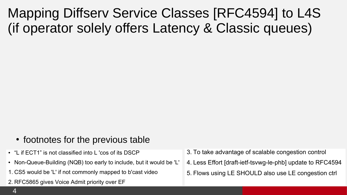Mapping Diffserv Service Classes [RFC4594] to L4S (if operator solely offers Latency & Classic queues)

- footnotes for the previous table
- "L if ECT1" is not classified into L 'cos of its DSCP
- Non-Queue-Building (NQB) too early to include, but it would be 'L'
- 1. CS5 would be 'L' if not commonly mapped to b'cast video
- 2. RFC5865 gives Voice Admit priority over EF
- 3. To take advantage of scalable congestion control
- 4. Less Effort [draft-ietf-tsvwg-le-phb] update to RFC4594
- 5. Flows using LE SHOULD also use LE congestion ctrl
- $\overline{4}$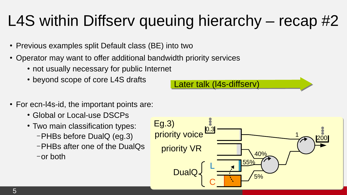## L4S within Diffserv queuing hierarchy – recap #2

- Previous examples split Default class (BE) into two
- Operator may want to offer additional bandwidth priority services
	- not usually necessary for public Internet
	- beyond scope of core L4S drafts
- For ecn-I4s-id, the important points are:
	- Global or Local-use DSCPs
	- Two main classification types:
		- –PHBs before DualQ (eg.3)
		- –PHBs after one of the DualQs
		- –or both



Later talk (I4s-diffserv)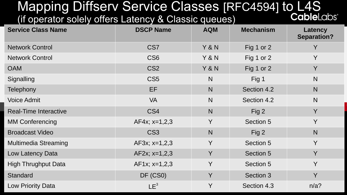#### Mapping Diffserv Service Classes [RFC4594] to L4S<br>It operator solely offers Latency & Classic queues) (if operator solely offers Latency & Classic queues)

| <b>Service Class Name</b>    | <b>DSCP Name</b>   | <b>AQM</b>   | <b>Mechanism</b> | Latency<br><b>Separation?</b> |
|------------------------------|--------------------|--------------|------------------|-------------------------------|
| <b>Network Control</b>       | CS <sub>7</sub>    | Y & N        | Fig 1 or 2       | Y                             |
| <b>Network Control</b>       | CS <sub>6</sub>    | Y & N        | Fig $1$ or $2$   | Y                             |
| <b>OAM</b>                   | CS <sub>2</sub>    | Y & N        | Fig $1$ or $2$   | Y                             |
| Signalling                   | CS <sub>5</sub>    | N            | Fig $1$          | N                             |
| <b>Telephony</b>             | EF                 | $\mathsf{N}$ | Section 4.2      | N                             |
| <b>Voice Admit</b>           | <b>VA</b>          | $\mathsf{N}$ | Section 4.2      | N                             |
| <b>Real-Time Interactive</b> | CS4                | N            | Fig 2            | Y                             |
| <b>MM Conferencing</b>       | $AF4x$ ; $x=1,2,3$ | Y            | Section 5        | Y                             |
| <b>Broadcast Video</b>       | CS <sub>3</sub>    | $\mathsf{N}$ | Fig $2$          | N                             |
| <b>Multimedia Streaming</b>  | $AF3x; x=1,2,3$    | Y            | Section 5        | Y                             |
| Low Latency Data             | $AF2x$ ; $x=1,2,3$ | Y            | Section 5        | Y                             |
| <b>High Thrughput Data</b>   | $AF1x; x=1,2,3$    | Y            | Section 5        | Y                             |
| <b>Standard</b>              | DF (CS0)           | Y            | Section 3        | Y                             |
| Low Priority Data            | LE <sup>3</sup>    | Y            | Section 4.3      | n/a?                          |